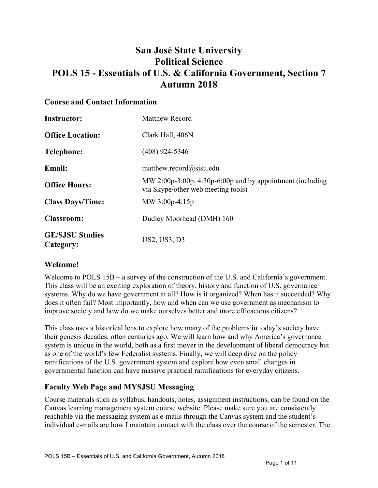# **San José State University Political Science POLS 15 - Essentials of U.S. & California Government, Section 7 Autumn 2018**

#### **Course and Contact Information**

| <b>Instructor:</b>                  | Matthew Record                                                                                  |
|-------------------------------------|-------------------------------------------------------------------------------------------------|
| <b>Office Location:</b>             | Clark Hall, 406N                                                                                |
| <b>Telephone:</b>                   | $(408)$ 924-5346                                                                                |
| <b>Email:</b>                       | matthew.record@sjsu.edu                                                                         |
| <b>Office Hours:</b>                | MW 2:00p-3:00p, 4:30p-6:00p and by appointment (including<br>via Skype/other web meeting tools) |
| <b>Class Days/Time:</b>             | MW $3:00p-4:15p$                                                                                |
| <b>Classroom:</b>                   | Dudley Moorhead (DMH) 160                                                                       |
| <b>GE/SJSU Studies</b><br>Category: | US2, US3, D3                                                                                    |

## **Welcome!**

Welcome to POLS  $15B - a$  survey of the construction of the U.S. and California's government. This class will be an exciting exploration of theory, history and function of U.S. governance systems. Why do we have government at all? How is it organized? When has it succeeded? Why does it often fail? Most importantly, how and when can we use government as mechanism to improve society and how do we make ourselves better and more efficacious citizens?

This class uses a historical lens to explore how many of the problems in today's society have their genesis decades, often centuries ago. We will learn how and why America's governance system is unique in the world, both as a first mover in the development of liberal democracy but as one of the world's few Federalist systems. Finally, we will deep dive on the policy ramifications of the U.S. government system and explore how even small changes in governmental function can have massive practical ramifications for everyday citizens.

## **Faculty Web Page and MYSJSU Messaging**

Course materials such as syllabus, handouts, notes, assignment instructions, can be found on the Canvas learning management system course website. Please make sure you are consistently reachable via the messaging system as e-mails through the Canvas system and the student's individual e-mails are how I maintain contact with the class over the course of the semester. The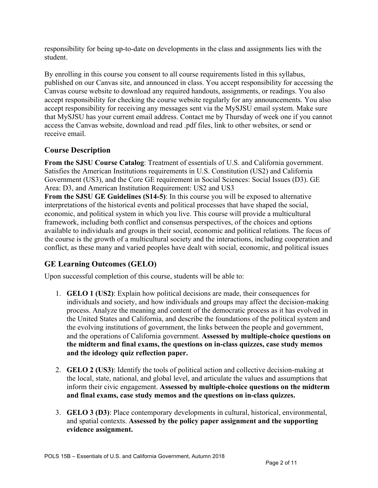responsibility for being up-to-date on developments in the class and assignments lies with the student.

By enrolling in this course you consent to all course requirements listed in this syllabus, published on our Canvas site, and announced in class. You accept responsibility for accessing the Canvas course website to download any required handouts, assignments, or readings. You also accept responsibility for checking the course website regularly for any announcements. You also accept responsibility for receiving any messages sent via the MySJSU email system. Make sure that MySJSU has your current email address. Contact me by Thursday of week one if you cannot access the Canvas website, download and read .pdf files, link to other websites, or send or receive email.

## **Course Description**

**From the SJSU Course Catalog**: Treatment of essentials of U.S. and California government. Satisfies the American Institutions requirements in U.S. Constitution (US2) and California Government (US3), and the Core GE requirement in Social Sciences: Social Issues (D3). GE Area: D3, and American Institution Requirement: US2 and US3

**From the SJSU GE Guidelines (S14-5)**: In this course you will be exposed to alternative interpretations of the historical events and political processes that have shaped the social, economic, and political system in which you live. This course will provide a multicultural framework, including both conflict and consensus perspectives, of the choices and options available to individuals and groups in their social, economic and political relations. The focus of the course is the growth of a multicultural society and the interactions, including cooperation and conflict, as these many and varied peoples have dealt with social, economic, and political issues

## **GE Learning Outcomes (GELO)**

Upon successful completion of this course, students will be able to:

- 1. **GELO 1 (US2)**: Explain how political decisions are made, their consequences for individuals and society, and how individuals and groups may affect the decision-making process. Analyze the meaning and content of the democratic process as it has evolved in the United States and California, and describe the foundations of the political system and the evolving institutions of government, the links between the people and government, and the operations of California government. **Assessed by multiple-choice questions on the midterm and final exams, the questions on in-class quizzes, case study memos and the ideology quiz reflection paper.**
- 2. **GELO 2 (US3)**: Identify the tools of political action and collective decision-making at the local, state, national, and global level, and articulate the values and assumptions that inform their civic engagement. **Assessed by multiple-choice questions on the midterm and final exams, case study memos and the questions on in-class quizzes.**
- 3. **GELO 3 (D3)**: Place contemporary developments in cultural, historical, environmental, and spatial contexts. **Assessed by the policy paper assignment and the supporting evidence assignment.**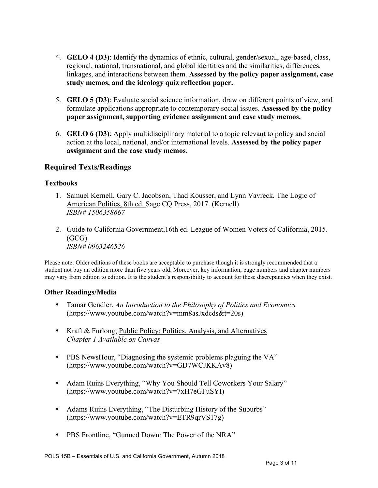- 4. **GELO 4 (D3)**: Identify the dynamics of ethnic, cultural, gender/sexual, age-based, class, regional, national, transnational, and global identities and the similarities, differences, linkages, and interactions between them. **Assessed by the policy paper assignment, case study memos, and the ideology quiz reflection paper.**
- 5. **GELO 5 (D3)**: Evaluate social science information, draw on different points of view, and formulate applications appropriate to contemporary social issues. **Assessed by the policy paper assignment, supporting evidence assignment and case study memos.**
- 6. **GELO 6 (D3)**: Apply multidisciplinary material to a topic relevant to policy and social action at the local, national, and/or international levels. **Assessed by the policy paper assignment and the case study memos.**

## **Required Texts/Readings**

#### **Textbooks**

- 1. Samuel Kernell, Gary C. Jacobson, Thad Kousser, and Lynn Vavreck*.* The Logic of American Politics, 8th ed. Sage CQ Press, 2017. (Kernell) *ISBN# 1506358667*
- 2. Guide to California Government,16th ed. League of Women Voters of California, 2015. (GCG) *ISBN# 0963246526*

Please note: Older editions of these books are acceptable to purchase though it is strongly recommended that a student not buy an edition more than five years old. Moreover, key information, page numbers and chapter numbers may vary from edition to edition. It is the student's responsibility to account for these discrepancies when they exist.

#### **Other Readings/Media**

- Tamar Gendler, *An Introduction to the Philosophy of Politics and Economics* (https://www.youtube.com/watch?v=mm8asJxdcds&t=20s)
- Kraft & Furlong, Public Policy: Politics, Analysis, and Alternatives *Chapter 1 Available on Canvas*
- PBS NewsHour, "Diagnosing the systemic problems plaguing the VA" (https://www.youtube.com/watch?v=GD7WCJKKAv8)
- Adam Ruins Everything, "Why You Should Tell Coworkers Your Salary" (https://www.youtube.com/watch?v=7xH7eGFuSYI)
- Adams Ruins Everything, "The Disturbing History of the Suburbs" (https://www.youtube.com/watch?v=ETR9qrVS17g)
- PBS Frontline, "Gunned Down: The Power of the NRA"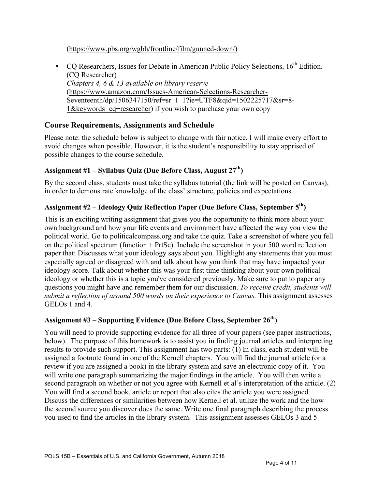(https://www.pbs.org/wgbh/frontline/film/gunned-down/)

• CQ Researchers, Issues for Debate in American Public Policy Selections,  $16<sup>th</sup>$  Edition. (CQ Researcher) *Chapters 4, 6 & 13 available on library reserve* (https://www.amazon.com/Issues-American-Selections-Researcher-Seventeenth/dp/1506347150/ref=sr\_1\_1?ie=UTF8&qid=1502225717&sr=8-1&keywords=cq+researcher) if you wish to purchase your own copy

## **Course Requirements, Assignments and Schedule**

Please note: the schedule below is subject to change with fair notice. I will make every effort to avoid changes when possible. However, it is the student's responsibility to stay apprised of possible changes to the course schedule.

#### **Assignment #1 – Syllabus Quiz (Due Before Class, August 27th)**

By the second class, students must take the syllabus tutorial (the link will be posted on Canvas), in order to demonstrate knowledge of the class' structure, policies and expectations.

#### **Assignment #2 – Ideology Quiz Reflection Paper (Due Before Class, September 5th)**

This is an exciting writing assignment that gives you the opportunity to think more about your own background and how your life events and environment have affected the way you view the political world. Go to politicalcompass.org and take the quiz. Take a screenshot of where you fell on the political spectrum (function + PrtSc). Include the screenshot in your 500 word reflection paper that: Discusses what your ideology says about you. Highlight any statements that you most especially agreed or disagreed with and talk about how you think that may have impacted your ideology score. Talk about whether this was your first time thinking about your own political ideology or whether this is a topic you've considered previously. Make sure to put to paper any questions you might have and remember them for our discussion. *To receive credit, students will submit a reflection of around 500 words on their experience to Canvas.* This assignment assesses GELOs 1 and 4*.*

#### **Assignment #3 – Supporting Evidence (Due Before Class, September 26th)**

You will need to provide supporting evidence for all three of your papers (see paper instructions, below). The purpose of this homework is to assist you in finding journal articles and interpreting results to provide such support. This assignment has two parts: (1) In class, each student will be assigned a footnote found in one of the Kernell chapters. You will find the journal article (or a review if you are assigned a book) in the library system and save an electronic copy of it. You will write one paragraph summarizing the major findings in the article. You will then write a second paragraph on whether or not you agree with Kernell et al's interpretation of the article. (2) You will find a second book, article or report that also cites the article you were assigned. Discuss the differences or similarities between how Kernell et al. utilize the work and the how the second source you discover does the same. Write one final paragraph describing the process you used to find the articles in the library system. This assignment assesses GELOs 3 and 5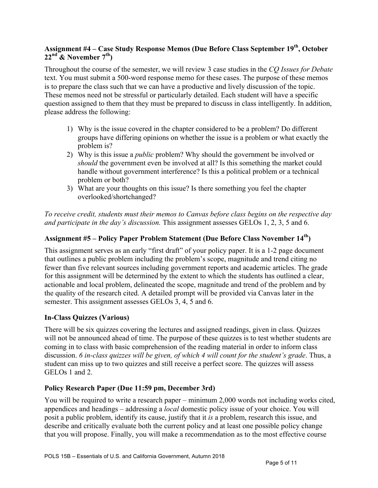## **Assignment #4 – Case Study Response Memos (Due Before Class September 19th, October 22nd & November 7th)**

Throughout the course of the semester, we will review 3 case studies in the *CQ Issues for Debate*  text. You must submit a 500-word response memo for these cases. The purpose of these memos is to prepare the class such that we can have a productive and lively discussion of the topic. These memos need not be stressful or particularly detailed. Each student will have a specific question assigned to them that they must be prepared to discuss in class intelligently. In addition, please address the following:

- 1) Why is the issue covered in the chapter considered to be a problem? Do different groups have differing opinions on whether the issue is a problem or what exactly the problem is?
- 2) Why is this issue a *public* problem? Why should the government be involved or *should* the government even be involved at all? Is this something the market could handle without government interference? Is this a political problem or a technical problem or both?
- 3) What are your thoughts on this issue? Is there something you feel the chapter overlooked/shortchanged?

*To receive credit, students must their memos to Canvas before class begins on the respective day and participate in the day's discussion.* This assignment assesses GELOs 1, 2, 3, 5 and 6.

## **Assignment #5 – Policy Paper Problem Statement (Due Before Class November 14th)**

This assignment serves as an early "first draft" of your policy paper. It is a 1-2 page document that outlines a public problem including the problem's scope, magnitude and trend citing no fewer than five relevant sources including government reports and academic articles. The grade for this assignment will be determined by the extent to which the students has outlined a clear, actionable and local problem, delineated the scope, magnitude and trend of the problem and by the quality of the research cited. A detailed prompt will be provided via Canvas later in the semester. This assignment assesses GELOs 3, 4, 5 and 6.

## **In-Class Quizzes (Various)**

There will be six quizzes covering the lectures and assigned readings, given in class. Quizzes will not be announced ahead of time. The purpose of these quizzes is to test whether students are coming in to class with basic comprehension of the reading material in order to inform class discussion. *6 in-class quizzes will be given, of which 4 will count for the student's grade*. Thus, a student can miss up to two quizzes and still receive a perfect score. The quizzes will assess GELOs 1 and 2.

## **Policy Research Paper (Due 11:59 pm, December 3rd)**

You will be required to write a research paper – minimum 2,000 words not including works cited, appendices and headings – addressing a *local* domestic policy issue of your choice. You will posit a public problem, identify its cause, justify that it *is* a problem, research this issue, and describe and critically evaluate both the current policy and at least one possible policy change that you will propose. Finally, you will make a recommendation as to the most effective course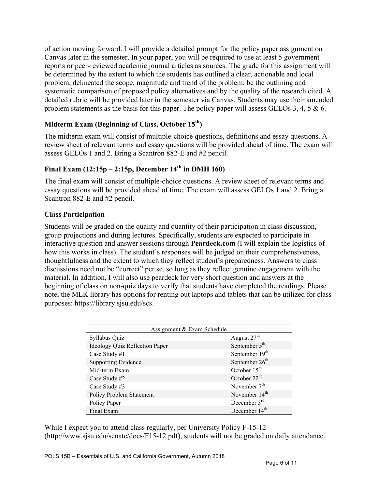of action moving forward. I will provide a detailed prompt for the policy paper assignment on Canvas later in the semester. In your paper, you will be required to use at least 5 government reports or peer-reviewed academic journal articles as sources. The grade for this assignment will be determined by the extent to which the students has outlined a clear, actionable and local problem, delineated the scope, magnitude and trend of the problem, be the outlining and systematic comparison of proposed policy alternatives and by the quality of the research cited. A detailed rubric will be provided later in the semester via Canvas. Students may use their amended problem statements as the basis for this paper. The policy paper will assess GELOs 3, 4, 5 & 6.

## **Midterm Exam (Beginning of Class, October 15th)**

The midterm exam will consist of multiple-choice questions, definitions and essay questions. A review sheet of relevant terms and essay questions will be provided ahead of time. The exam will assess GELOs 1 and 2. Bring a Scantron 882-E and #2 pencil.

## **Final Exam (12:15p – 2:15p, December 14th in DMH 160)**

The final exam will consist of multiple-choice questions. A review sheet of relevant terms and essay questions will be provided ahead of time. The exam will assess GELOs 1 and 2. Bring a Scantron 882-E and #2 pencil.

#### **Class Participation**

Students will be graded on the quality and quantity of their participation in class discussion, group projections and during lectures. Specifically, students are expected to participate in interactive question and answer sessions through **Peardeck.com** (I will explain the logistics of how this works in class). The student's responses will be judged on their comprehensiveness, thoughtfulness and the extent to which they reflect student's preparedness. Answers to class discussions need not be "correct" per se, so long as they reflect genuine engagement with the material. In addition, I will also use peardeck for very short question and answers at the beginning of class on non-quiz days to verify that students have completed the readings. Please note, the MLK library has options for renting out laptops and tablets that can be utilized for class purposes: https://library.sjsu.edu/scs.

| Assignment & Exam Schedule            |                            |  |  |
|---------------------------------------|----------------------------|--|--|
| Syllabus Quiz                         | August 27 <sup>th</sup>    |  |  |
| <b>Ideology Quiz Reflection Paper</b> | September $5th$            |  |  |
| Case Study #1                         | September 19 <sup>th</sup> |  |  |
| <b>Supporting Evidence</b>            | September $26th$           |  |  |
| Mid-term Exam                         | October $15th$             |  |  |
| Case Study #2                         | October $22nd$             |  |  |
| Case Study #3                         | November $7th$             |  |  |
| <b>Policy Problem Statement</b>       | November 14 <sup>th</sup>  |  |  |
| Policy Paper                          | December $3rd$             |  |  |
| Final Exam                            | December 14 <sup>th</sup>  |  |  |

While I expect you to attend class regularly, per University Policy F-15-12 (http://www.sjsu.edu/senate/docs/F15-12.pdf), students will not be graded on daily attendance.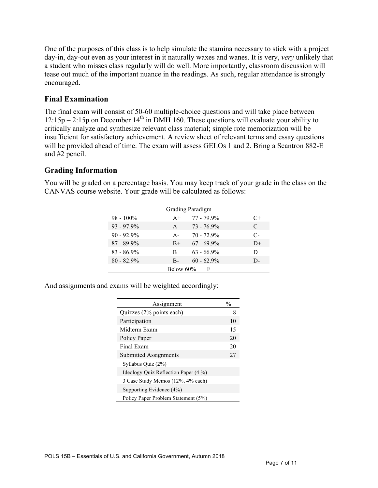One of the purposes of this class is to help simulate the stamina necessary to stick with a project day-in, day-out even as your interest in it naturally waxes and wanes. It is very, *very* unlikely that a student who misses class regularly will do well. More importantly, classroom discussion will tease out much of the important nuance in the readings. As such, regular attendance is strongly encouraged.

## **Final Examination**

The final exam will consist of 50-60 multiple-choice questions and will take place between  $12:15p - 2:15p$  on December  $14<sup>th</sup>$  in DMH 160. These questions will evaluate your ability to critically analyze and synthesize relevant class material; simple rote memorization will be insufficient for satisfactory achievement. A review sheet of relevant terms and essay questions will be provided ahead of time. The exam will assess GELOs 1 and 2. Bring a Scantron 882-E and #2 pencil.

## **Grading Information**

|                |       | Grading Paradigm |      |
|----------------|-------|------------------|------|
| $98 - 100\%$   | $A+$  | $77 - 79.9\%$    | C+   |
| $93 - 97.9\%$  | A     | $73 - 76.9\%$    | C    |
| $90 - 92.9\%$  | $A -$ | $70 - 72.9\%$    | $C-$ |
| $87 - 89.9\%$  | $B+$  | $67 - 69.9\%$    | $D+$ |
| $83 - 86.9\%$  | R     | $63 - 66.9\%$    | D    |
| $80 - 82.9\%$  | $B -$ | $60 - 62.9\%$    | D-   |
| Below 60%<br>F |       |                  |      |

You will be graded on a percentage basis. You may keep track of your grade in the class on the CANVAS course website. Your grade will be calculated as follows:

And assignments and exams will be weighted accordingly:

| Assignment                           | $\frac{0}{0}$ |
|--------------------------------------|---------------|
| Quizzes (2% points each)             | 8             |
| Participation                        | 10            |
| Midterm Exam                         | 15            |
| Policy Paper                         | 20            |
| Final Exam                           | 20            |
| Submitted Assignments                | 27            |
| Syllabus Quiz (2%)                   |               |
| Ideology Ouiz Reflection Paper (4 %) |               |
| 3 Case Study Memos (12%, 4% each)    |               |
| Supporting Evidence (4%)             |               |
| Policy Paper Problem Statement (5%)  |               |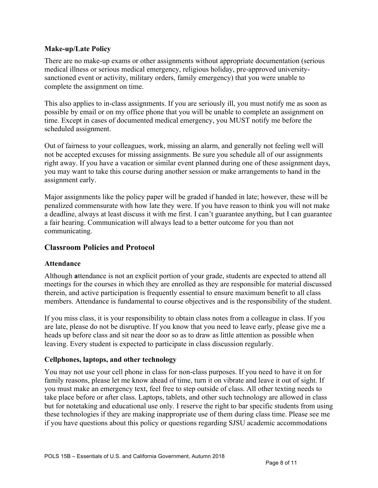#### **Make-up/Late Policy**

There are no make-up exams or other assignments without appropriate documentation (serious medical illness or serious medical emergency, religious holiday, pre-approved universitysanctioned event or activity, military orders, family emergency) that you were unable to complete the assignment on time.

This also applies to in-class assignments. If you are seriously ill, you must notify me as soon as possible by email or on my office phone that you will be unable to complete an assignment on time. Except in cases of documented medical emergency, you MUST notify me before the scheduled assignment.

Out of fairness to your colleagues, work, missing an alarm, and generally not feeling well will not be accepted excuses for missing assignments. Be sure you schedule all of our assignments right away. If you have a vacation or similar event planned during one of these assignment days, you may want to take this course during another session or make arrangements to hand in the assignment early.

Major assignments like the policy paper will be graded if handed in late; however, these will be penalized commensurate with how late they were. If you have reason to think you will not make a deadline, always at least discuss it with me first. I can't guarantee anything, but I can guarantee a fair hearing. Communication will always lead to a better outcome for you than not communicating.

#### **Classroom Policies and Protocol**

#### **Attendance**

Although **a**ttendance is not an explicit portion of your grade, students are expected to attend all meetings for the courses in which they are enrolled as they are responsible for material discussed therein, and active participation is frequently essential to ensure maximum benefit to all class members. Attendance is fundamental to course objectives and is the responsibility of the student.

If you miss class, it is your responsibility to obtain class notes from a colleague in class. If you are late, please do not be disruptive. If you know that you need to leave early, please give me a heads up before class and sit near the door so as to draw as little attention as possible when leaving. Every student is expected to participate in class discussion regularly.

#### **Cellphones, laptops, and other technology**

You may not use your cell phone in class for non-class purposes. If you need to have it on for family reasons, please let me know ahead of time, turn it on vibrate and leave it out of sight. If you must make an emergency text, feel free to step outside of class. All other texting needs to take place before or after class. Laptops, tablets, and other such technology are allowed in class but for notetaking and educational use only. I reserve the right to bar specific students from using these technologies if they are making inappropriate use of them during class time. Please see me if you have questions about this policy or questions regarding SJSU academic accommodations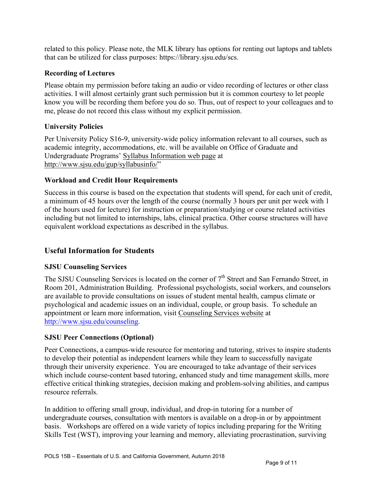related to this policy. Please note, the MLK library has options for renting out laptops and tablets that can be utilized for class purposes: https://library.sjsu.edu/scs.

#### **Recording of Lectures**

Please obtain my permission before taking an audio or video recording of lectures or other class activities. I will almost certainly grant such permission but it is common courtesy to let people know you will be recording them before you do so. Thus, out of respect to your colleagues and to me, please do not record this class without my explicit permission.

## **University Policies**

Per University Policy S16-9, university-wide policy information relevant to all courses, such as academic integrity, accommodations, etc. will be available on Office of Graduate and Undergraduate Programs' Syllabus Information web page at http://www.sjsu.edu/gup/syllabusinfo/"

## **Workload and Credit Hour Requirements**

Success in this course is based on the expectation that students will spend, for each unit of credit, a minimum of 45 hours over the length of the course (normally 3 hours per unit per week with 1 of the hours used for lecture) for instruction or preparation/studying or course related activities including but not limited to internships, labs, clinical practica. Other course structures will have equivalent workload expectations as described in the syllabus.

## **Useful Information for Students**

## **SJSU Counseling Services**

The SJSU Counseling Services is located on the corner of  $7<sup>th</sup>$  Street and San Fernando Street, in Room 201, Administration Building. Professional psychologists, social workers, and counselors are available to provide consultations on issues of student mental health, campus climate or psychological and academic issues on an individual, couple, or group basis. To schedule an appointment or learn more information, visit Counseling Services website at http://www.sjsu.edu/counseling.

## **SJSU Peer Connections (Optional)**

Peer Connections, a campus-wide resource for mentoring and tutoring, strives to inspire students to develop their potential as independent learners while they learn to successfully navigate through their university experience. You are encouraged to take advantage of their services which include course-content based tutoring, enhanced study and time management skills, more effective critical thinking strategies, decision making and problem-solving abilities, and campus resource referrals.

In addition to offering small group, individual, and drop-in tutoring for a number of undergraduate courses, consultation with mentors is available on a drop-in or by appointment basis. Workshops are offered on a wide variety of topics including preparing for the Writing Skills Test (WST), improving your learning and memory, alleviating procrastination, surviving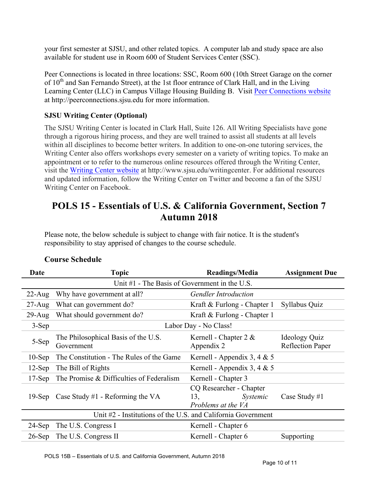your first semester at SJSU, and other related topics. A computer lab and study space are also available for student use in Room 600 of Student Services Center (SSC).

Peer Connections is located in three locations: SSC, Room 600 (10th Street Garage on the corner of  $10<sup>th</sup>$  and San Fernando Street), at the 1st floor entrance of Clark Hall, and in the Living Learning Center (LLC) in Campus Village Housing Building B. Visit Peer Connections website at http://peerconnections.sjsu.edu for more information.

## **SJSU Writing Center (Optional)**

The SJSU Writing Center is located in Clark Hall, Suite 126. All Writing Specialists have gone through a rigorous hiring process, and they are well trained to assist all students at all levels within all disciplines to become better writers. In addition to one-on-one tutoring services, the Writing Center also offers workshops every semester on a variety of writing topics. To make an appointment or to refer to the numerous online resources offered through the Writing Center, visit the Writing Center website at http://www.sjsu.edu/writingcenter. For additional resources and updated information, follow the Writing Center on Twitter and become a fan of the SJSU Writing Center on Facebook.

# **POLS 15 - Essentials of U.S. & California Government, Section 7 Autumn 2018**

Please note, the below schedule is subject to change with fair notice. It is the student's responsibility to stay apprised of changes to the course schedule.

| Date       | <b>Topic</b>                                                 | Readings/Media                                                   | <b>Assignment Due</b>                    |
|------------|--------------------------------------------------------------|------------------------------------------------------------------|------------------------------------------|
|            | Unit #1 - The Basis of Government in the U.S.                |                                                                  |                                          |
| $22$ -Aug  | Why have government at all?                                  | <b>Gendler Introduction</b>                                      |                                          |
| $27 - Aug$ | What can government do?                                      | Kraft & Furlong - Chapter 1                                      | Syllabus Quiz                            |
| $29$ -Aug  | What should government do?                                   | Kraft & Furlong - Chapter 1                                      |                                          |
| $3-Sep$    | Labor Day - No Class!                                        |                                                                  |                                          |
| 5-Sep      | The Philosophical Basis of the U.S.<br>Government            | Kernell - Chapter $2 &$<br>Appendix 2                            | Ideology Quiz<br><b>Reflection Paper</b> |
| $10-Sep$   | The Constitution - The Rules of the Game                     | Kernell - Appendix 3, 4 & 5                                      |                                          |
| $12$ -Sep  | The Bill of Rights                                           | Kernell - Appendix 3, 4 & 5                                      |                                          |
| $17-Sep$   | The Promise & Difficulties of Federalism                     | Kernell - Chapter 3                                              |                                          |
| $19-Sep$   | Case Study #1 - Reforming the VA                             | CQ Researcher - Chapter<br>Systemic<br>13,<br>Problems at the VA | Case Study $#1$                          |
|            | Unit #2 - Institutions of the U.S. and California Government |                                                                  |                                          |
| $24-Sep$   | The U.S. Congress I                                          | Kernell - Chapter 6                                              |                                          |
| $26-Sep$   | The U.S. Congress II                                         | Kernell - Chapter 6                                              | Supporting                               |

#### **Course Schedule**